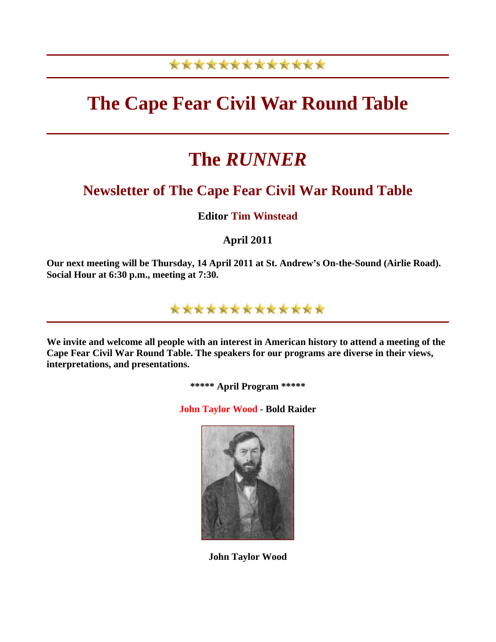## \*\*\*\*\*\*\*\*\*\*\*\*\*

# **The Cape Fear Civil War Round Table**

# **The** *RUNNER*

## **Newsletter of The Cape Fear Civil War Round Table**

**Editor Tim Winstead**

**April 2011** 

**Our next meeting will be Thursday, 14 April 2011 at St. Andrew's On-the-Sound (Airlie Road). Social Hour at 6:30 p.m., meeting at 7:30.** 



**We invite and welcome all people with an interest in American history to attend a meeting of the Cape Fear Civil War Round Table. The speakers for our programs are diverse in their views, interpretations, and presentations.** 

**\*\*\*\*\* April Program \*\*\*\*\*** 

**John Taylor Wood - Bold Raider**



**John Taylor Wood**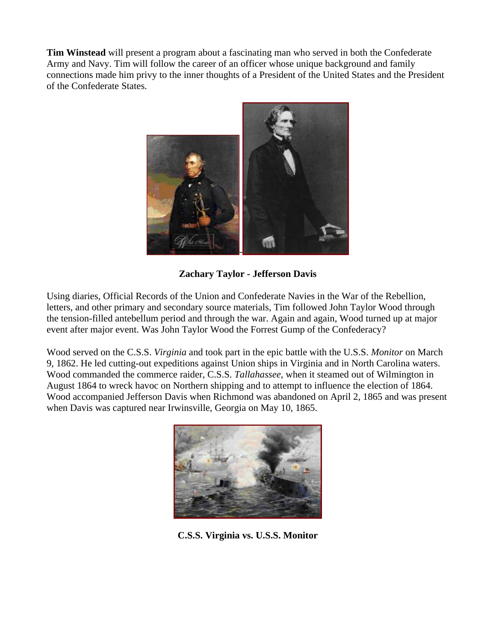**Tim Winstead** will present a program about a fascinating man who served in both the Confederate Army and Navy. Tim will follow the career of an officer whose unique background and family connections made him privy to the inner thoughts of a President of the United States and the President of the Confederate States.



**Zachary Taylor - Jefferson Davis** 

Using diaries, Official Records of the Union and Confederate Navies in the War of the Rebellion, letters, and other primary and secondary source materials, Tim followed John Taylor Wood through the tension-filled antebellum period and through the war. Again and again, Wood turned up at major event after major event. Was John Taylor Wood the Forrest Gump of the Confederacy?

Wood served on the C.S.S. *Virginia* and took part in the epic battle with the U.S.S. *Monitor* on March 9, 1862. He led cutting-out expeditions against Union ships in Virginia and in North Carolina waters. Wood commanded the commerce raider, C.S.S. *Tallahassee*, when it steamed out of Wilmington in August 1864 to wreck havoc on Northern shipping and to attempt to influence the election of 1864. Wood accompanied Jefferson Davis when Richmond was abandoned on April 2, 1865 and was present when Davis was captured near Irwinsville, Georgia on May 10, 1865.



**C.S.S. Virginia vs. U.S.S. Monitor**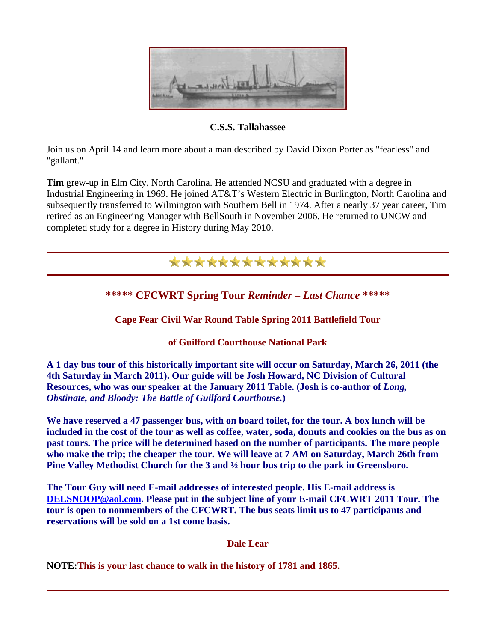

**C.S.S. Tallahassee** 

Join us on April 14 and learn more about a man described by David Dixon Porter as "fearless" and "gallant."

**Tim** grew-up in Elm City, North Carolina. He attended NCSU and graduated with a degree in Industrial Engineering in 1969. He joined AT&T's Western Electric in Burlington, North Carolina and subsequently transferred to Wilmington with Southern Bell in 1974. After a nearly 37 year career, Tim retired as an Engineering Manager with BellSouth in November 2006. He returned to UNCW and completed study for a degree in History during May 2010.



### **Dale Lear**

**NOTE:This is your last chance to walk in the history of 1781 and 1865.**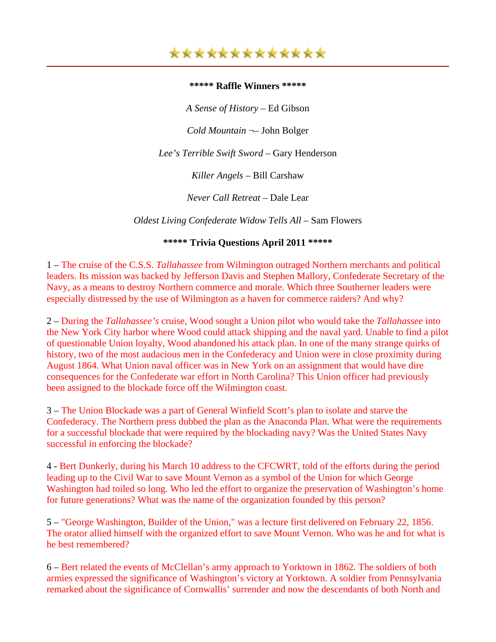#### **\*\*\*\*\* Raffle Winners \*\*\*\*\***

*A Sense of History* – Ed Gibson

*Cold Mountain* ¬– John Bolger

*Lee's Terrible Swift Sword* – Gary Henderson

*Killer Angels* – Bill Carshaw

*Never Call Retreat* – Dale Lear

*Oldest Living Confederate Widow Tells All* – Sam Flowers

#### **\*\*\*\*\* Trivia Questions April 2011 \*\*\*\*\***

1 – The cruise of the C.S.S. *Tallahassee* from Wilmington outraged Northern merchants and political leaders. Its mission was backed by Jefferson Davis and Stephen Mallory, Confederate Secretary of the Navy, as a means to destroy Northern commerce and morale. Which three Southerner leaders were especially distressed by the use of Wilmington as a haven for commerce raiders? And why?

2 – During the *Tallahassee's* cruise, Wood sought a Union pilot who would take the *Tallahassee* into the New York City harbor where Wood could attack shipping and the naval yard. Unable to find a pilot of questionable Union loyalty, Wood abandoned his attack plan. In one of the many strange quirks of history, two of the most audacious men in the Confederacy and Union were in close proximity during August 1864. What Union naval officer was in New York on an assignment that would have dire consequences for the Confederate war effort in North Carolina? This Union officer had previously been assigned to the blockade force off the Wilmington coast.

3 – The Union Blockade was a part of General Winfield Scott's plan to isolate and starve the Confederacy. The Northern press dubbed the plan as the Anaconda Plan. What were the requirements for a successful blockade that were required by the blockading navy? Was the United States Navy successful in enforcing the blockade?

4 - Bert Dunkerly, during his March 10 address to the CFCWRT, told of the efforts during the period leading up to the Civil War to save Mount Vernon as a symbol of the Union for which George Washington had toiled so long. Who led the effort to organize the preservation of Washington's home for future generations? What was the name of the organization founded by this person?

5 – "George Washington, Builder of the Union," was a lecture first delivered on February 22, 1856. The orator allied himself with the organized effort to save Mount Vernon. Who was he and for what is he best remembered?

6 – Bert related the events of McClellan's army approach to Yorktown in 1862. The soldiers of both armies expressed the significance of Washington's victory at Yorktown. A soldier from Pennsylvania remarked about the significance of Cornwallis' surrender and now the descendants of both North and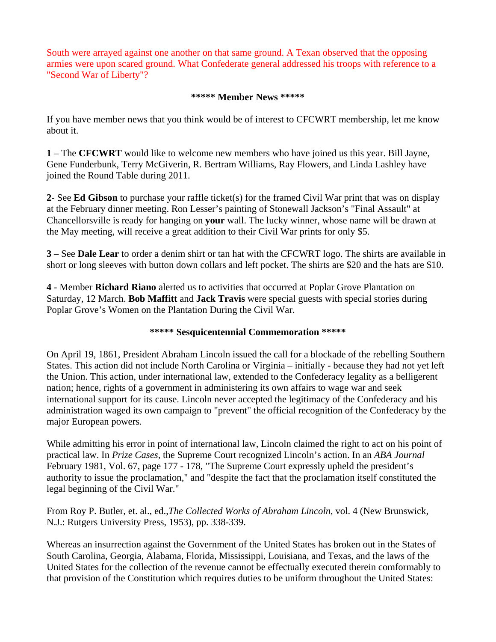South were arrayed against one another on that same ground. A Texan observed that the opposing armies were upon scared ground. What Confederate general addressed his troops with reference to a "Second War of Liberty"?

#### **\*\*\*\*\* Member News \*\*\*\*\***

If you have member news that you think would be of interest to CFCWRT membership, let me know about it.

**1** – The **CFCWRT** would like to welcome new members who have joined us this year. Bill Jayne, Gene Funderbunk, Terry McGiverin, R. Bertram Williams, Ray Flowers, and Linda Lashley have joined the Round Table during 2011.

**2**- See **Ed Gibson** to purchase your raffle ticket(s) for the framed Civil War print that was on display at the February dinner meeting. Ron Lesser's painting of Stonewall Jackson's "Final Assault" at Chancellorsville is ready for hanging on **your** wall. The lucky winner, whose name will be drawn at the May meeting, will receive a great addition to their Civil War prints for only \$5.

**3** – See **Dale Lear** to order a denim shirt or tan hat with the CFCWRT logo. The shirts are available in short or long sleeves with button down collars and left pocket. The shirts are \$20 and the hats are \$10.

**4** - Member **Richard Riano** alerted us to activities that occurred at Poplar Grove Plantation on Saturday, 12 March. **Bob Maffitt** and **Jack Travis** were special guests with special stories during Poplar Grove's Women on the Plantation During the Civil War.

### **\*\*\*\*\* Sesquicentennial Commemoration \*\*\*\*\***

On April 19, 1861, President Abraham Lincoln issued the call for a blockade of the rebelling Southern States. This action did not include North Carolina or Virginia – initially - because they had not yet left the Union. This action, under international law, extended to the Confederacy legality as a belligerent nation; hence, rights of a government in administering its own affairs to wage war and seek international support for its cause. Lincoln never accepted the legitimacy of the Confederacy and his administration waged its own campaign to "prevent" the official recognition of the Confederacy by the major European powers.

While admitting his error in point of international law, Lincoln claimed the right to act on his point of practical law. In *Prize Cases*, the Supreme Court recognized Lincoln's action. In an *ABA Journal* February 1981, Vol. 67, page 177 - 178, "The Supreme Court expressly upheld the president's authority to issue the proclamation," and "despite the fact that the proclamation itself constituted the legal beginning of the Civil War."

From Roy P. Butler, et. al., ed.,*The Collected Works of Abraham Lincoln*, vol. 4 (New Brunswick, N.J.: Rutgers University Press, 1953), pp. 338-339.

Whereas an insurrection against the Government of the United States has broken out in the States of South Carolina, Georgia, Alabama, Florida, Mississippi, Louisiana, and Texas, and the laws of the United States for the collection of the revenue cannot be effectually executed therein comformably to that provision of the Constitution which requires duties to be uniform throughout the United States: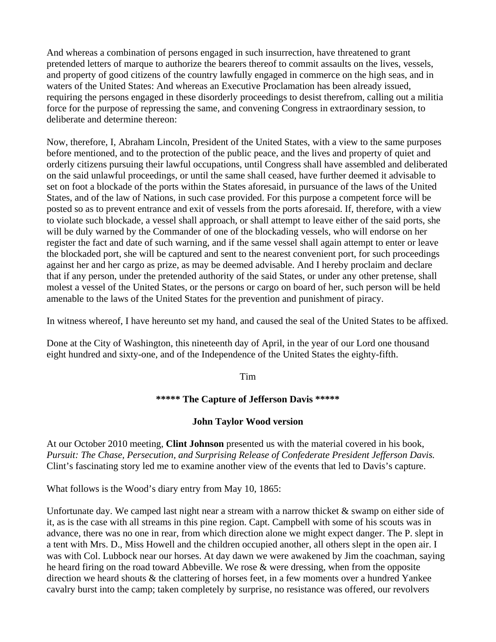And whereas a combination of persons engaged in such insurrection, have threatened to grant pretended letters of marque to authorize the bearers thereof to commit assaults on the lives, vessels, and property of good citizens of the country lawfully engaged in commerce on the high seas, and in waters of the United States: And whereas an Executive Proclamation has been already issued, requiring the persons engaged in these disorderly proceedings to desist therefrom, calling out a militia force for the purpose of repressing the same, and convening Congress in extraordinary session, to deliberate and determine thereon:

Now, therefore, I, Abraham Lincoln, President of the United States, with a view to the same purposes before mentioned, and to the protection of the public peace, and the lives and property of quiet and orderly citizens pursuing their lawful occupations, until Congress shall have assembled and deliberated on the said unlawful proceedings, or until the same shall ceased, have further deemed it advisable to set on foot a blockade of the ports within the States aforesaid, in pursuance of the laws of the United States, and of the law of Nations, in such case provided. For this purpose a competent force will be posted so as to prevent entrance and exit of vessels from the ports aforesaid. If, therefore, with a view to violate such blockade, a vessel shall approach, or shall attempt to leave either of the said ports, she will be duly warned by the Commander of one of the blockading vessels, who will endorse on her register the fact and date of such warning, and if the same vessel shall again attempt to enter or leave the blockaded port, she will be captured and sent to the nearest convenient port, for such proceedings against her and her cargo as prize, as may be deemed advisable. And I hereby proclaim and declare that if any person, under the pretended authority of the said States, or under any other pretense, shall molest a vessel of the United States, or the persons or cargo on board of her, such person will be held amenable to the laws of the United States for the prevention and punishment of piracy.

In witness whereof, I have hereunto set my hand, and caused the seal of the United States to be affixed.

Done at the City of Washington, this nineteenth day of April, in the year of our Lord one thousand eight hundred and sixty-one, and of the Independence of the United States the eighty-fifth.

Tim

### **\*\*\*\*\* The Capture of Jefferson Davis \*\*\*\*\***

### **John Taylor Wood version**

At our October 2010 meeting, **Clint Johnson** presented us with the material covered in his book, *Pursuit: The Chase, Persecution, and Surprising Release of Confederate President Jefferson Davis.* Clint's fascinating story led me to examine another view of the events that led to Davis's capture.

What follows is the Wood's diary entry from May 10, 1865:

Unfortunate day. We camped last night near a stream with a narrow thicket & swamp on either side of it, as is the case with all streams in this pine region. Capt. Campbell with some of his scouts was in advance, there was no one in rear, from which direction alone we might expect danger. The P. slept in a tent with Mrs. D., Miss Howell and the children occupied another, all others slept in the open air. I was with Col. Lubbock near our horses. At day dawn we were awakened by Jim the coachman, saying he heard firing on the road toward Abbeville. We rose & were dressing, when from the opposite direction we heard shouts & the clattering of horses feet, in a few moments over a hundred Yankee cavalry burst into the camp; taken completely by surprise, no resistance was offered, our revolvers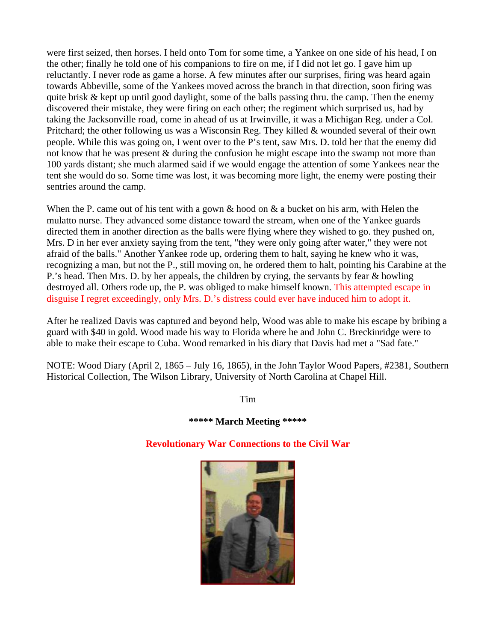were first seized, then horses. I held onto Tom for some time, a Yankee on one side of his head, I on the other; finally he told one of his companions to fire on me, if I did not let go. I gave him up reluctantly. I never rode as game a horse. A few minutes after our surprises, firing was heard again towards Abbeville, some of the Yankees moved across the branch in that direction, soon firing was quite brisk & kept up until good daylight, some of the balls passing thru. the camp. Then the enemy discovered their mistake, they were firing on each other; the regiment which surprised us, had by taking the Jacksonville road, come in ahead of us at Irwinville, it was a Michigan Reg. under a Col. Pritchard; the other following us was a Wisconsin Reg. They killed & wounded several of their own people. While this was going on, I went over to the P's tent, saw Mrs. D. told her that the enemy did not know that he was present & during the confusion he might escape into the swamp not more than 100 yards distant; she much alarmed said if we would engage the attention of some Yankees near the tent she would do so. Some time was lost, it was becoming more light, the enemy were posting their sentries around the camp.

When the P. came out of his tent with a gown & hood on & a bucket on his arm, with Helen the mulatto nurse. They advanced some distance toward the stream, when one of the Yankee guards directed them in another direction as the balls were flying where they wished to go. they pushed on, Mrs. D in her ever anxiety saying from the tent, "they were only going after water," they were not afraid of the balls." Another Yankee rode up, ordering them to halt, saying he knew who it was, recognizing a man, but not the P., still moving on, he ordered them to halt, pointing his Carabine at the P.'s head. Then Mrs. D. by her appeals, the children by crying, the servants by fear & howling destroyed all. Others rode up, the P. was obliged to make himself known. This attempted escape in disguise I regret exceedingly, only Mrs. D.'s distress could ever have induced him to adopt it.

After he realized Davis was captured and beyond help, Wood was able to make his escape by bribing a guard with \$40 in gold. Wood made his way to Florida where he and John C. Breckinridge were to able to make their escape to Cuba. Wood remarked in his diary that Davis had met a "Sad fate."

NOTE: Wood Diary (April 2, 1865 – July 16, 1865), in the John Taylor Wood Papers, #2381, Southern Historical Collection, The Wilson Library, University of North Carolina at Chapel Hill.

Tim

### **\*\*\*\*\* March Meeting \*\*\*\*\***

### **Revolutionary War Connections to the Civil War**

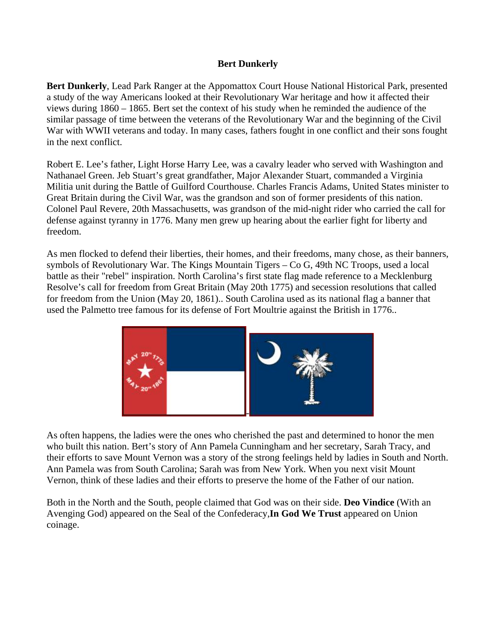#### **Bert Dunkerly**

**Bert Dunkerly**, Lead Park Ranger at the Appomattox Court House National Historical Park, presented a study of the way Americans looked at their Revolutionary War heritage and how it affected their views during 1860 – 1865. Bert set the context of his study when he reminded the audience of the similar passage of time between the veterans of the Revolutionary War and the beginning of the Civil War with WWII veterans and today. In many cases, fathers fought in one conflict and their sons fought in the next conflict.

Robert E. Lee's father, Light Horse Harry Lee, was a cavalry leader who served with Washington and Nathanael Green. Jeb Stuart's great grandfather, Major Alexander Stuart, commanded a Virginia Militia unit during the Battle of Guilford Courthouse. Charles Francis Adams, United States minister to Great Britain during the Civil War, was the grandson and son of former presidents of this nation. Colonel Paul Revere, 20th Massachusetts, was grandson of the mid-night rider who carried the call for defense against tyranny in 1776. Many men grew up hearing about the earlier fight for liberty and freedom.

As men flocked to defend their liberties, their homes, and their freedoms, many chose, as their banners, symbols of Revolutionary War. The Kings Mountain Tigers – Co G, 49th NC Troops, used a local battle as their "rebel" inspiration. North Carolina's first state flag made reference to a Mecklenburg Resolve's call for freedom from Great Britain (May 20th 1775) and secession resolutions that called for freedom from the Union (May 20, 1861).. South Carolina used as its national flag a banner that used the Palmetto tree famous for its defense of Fort Moultrie against the British in 1776..



As often happens, the ladies were the ones who cherished the past and determined to honor the men who built this nation. Bert's story of Ann Pamela Cunningham and her secretary, Sarah Tracy, and their efforts to save Mount Vernon was a story of the strong feelings held by ladies in South and North. Ann Pamela was from South Carolina; Sarah was from New York. When you next visit Mount Vernon, think of these ladies and their efforts to preserve the home of the Father of our nation.

Both in the North and the South, people claimed that God was on their side. **Deo Vindice** (With an Avenging God) appeared on the Seal of the Confederacy,**In God We Trust** appeared on Union coinage.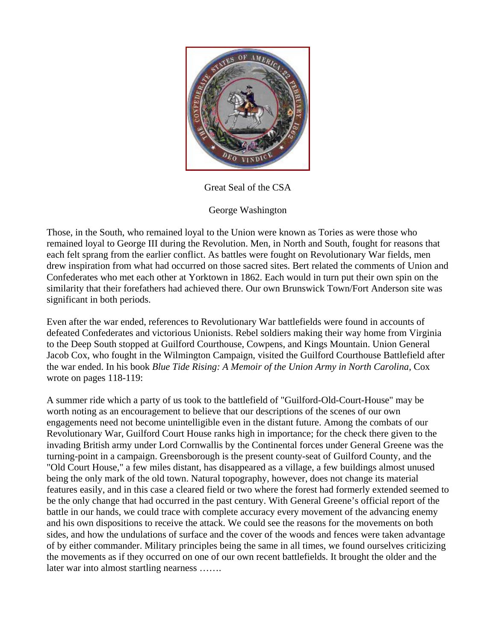

Great Seal of the CSA

George Washington

Those, in the South, who remained loyal to the Union were known as Tories as were those who remained loyal to George III during the Revolution. Men, in North and South, fought for reasons that each felt sprang from the earlier conflict. As battles were fought on Revolutionary War fields, men drew inspiration from what had occurred on those sacred sites. Bert related the comments of Union and Confederates who met each other at Yorktown in 1862. Each would in turn put their own spin on the similarity that their forefathers had achieved there. Our own Brunswick Town/Fort Anderson site was significant in both periods.

Even after the war ended, references to Revolutionary War battlefields were found in accounts of defeated Confederates and victorious Unionists. Rebel soldiers making their way home from Virginia to the Deep South stopped at Guilford Courthouse, Cowpens, and Kings Mountain. Union General Jacob Cox, who fought in the Wilmington Campaign, visited the Guilford Courthouse Battlefield after the war ended. In his book *Blue Tide Rising: A Memoir of the Union Army in North Carolina*, Cox wrote on pages 118-119:

A summer ride which a party of us took to the battlefield of "Guilford-Old-Court-House" may be worth noting as an encouragement to believe that our descriptions of the scenes of our own engagements need not become unintelligible even in the distant future. Among the combats of our Revolutionary War, Guilford Court House ranks high in importance; for the check there given to the invading British army under Lord Cornwallis by the Continental forces under General Greene was the turning-point in a campaign. Greensborough is the present county-seat of Guilford County, and the "Old Court House," a few miles distant, has disappeared as a village, a few buildings almost unused being the only mark of the old town. Natural topography, however, does not change its material features easily, and in this case a cleared field or two where the forest had formerly extended seemed to be the only change that had occurred in the past century. With General Greene's official report of the battle in our hands, we could trace with complete accuracy every movement of the advancing enemy and his own dispositions to receive the attack. We could see the reasons for the movements on both sides, and how the undulations of surface and the cover of the woods and fences were taken advantage of by either commander. Military principles being the same in all times, we found ourselves criticizing the movements as if they occurred on one of our own recent battlefields. It brought the older and the later war into almost startling nearness …….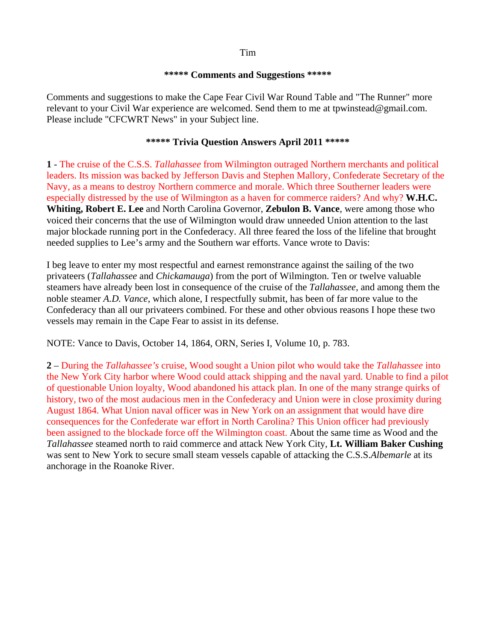#### Tim

#### **\*\*\*\*\* Comments and Suggestions \*\*\*\*\***

Comments and suggestions to make the Cape Fear Civil War Round Table and "The Runner" more relevant to your Civil War experience are welcomed. Send them to me at tpwinstead@gmail.com. Please include "CFCWRT News" in your Subject line.

#### **\*\*\*\*\* Trivia Question Answers April 2011 \*\*\*\*\***

**1** - The cruise of the C.S.S. *Tallahassee* from Wilmington outraged Northern merchants and political leaders. Its mission was backed by Jefferson Davis and Stephen Mallory, Confederate Secretary of the Navy, as a means to destroy Northern commerce and morale. Which three Southerner leaders were especially distressed by the use of Wilmington as a haven for commerce raiders? And why? **W.H.C. Whiting, Robert E. Lee** and North Carolina Governor, **Zebulon B. Vance**, were among those who voiced their concerns that the use of Wilmington would draw unneeded Union attention to the last major blockade running port in the Confederacy. All three feared the loss of the lifeline that brought needed supplies to Lee's army and the Southern war efforts. Vance wrote to Davis:

I beg leave to enter my most respectful and earnest remonstrance against the sailing of the two privateers (*Tallahassee* and *Chickamauga*) from the port of Wilmington. Ten or twelve valuable steamers have already been lost in consequence of the cruise of the *Tallahassee*, and among them the noble steamer *A.D. Vance*, which alone, I respectfully submit, has been of far more value to the Confederacy than all our privateers combined. For these and other obvious reasons I hope these two vessels may remain in the Cape Fear to assist in its defense.

NOTE: Vance to Davis, October 14, 1864, ORN, Series I, Volume 10, p. 783.

**2** – During the *Tallahassee's* cruise, Wood sought a Union pilot who would take the *Tallahassee* into the New York City harbor where Wood could attack shipping and the naval yard. Unable to find a pilot of questionable Union loyalty, Wood abandoned his attack plan. In one of the many strange quirks of history, two of the most audacious men in the Confederacy and Union were in close proximity during August 1864. What Union naval officer was in New York on an assignment that would have dire consequences for the Confederate war effort in North Carolina? This Union officer had previously been assigned to the blockade force off the Wilmington coast. About the same time as Wood and the *Tallahassee* steamed north to raid commerce and attack New York City, **Lt. William Baker Cushing** was sent to New York to secure small steam vessels capable of attacking the C.S.S.*Albemarle* at its anchorage in the Roanoke River.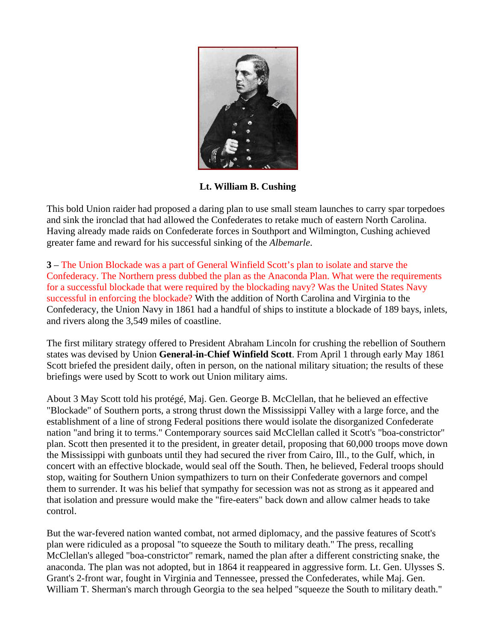

**Lt. William B. Cushing** 

This bold Union raider had proposed a daring plan to use small steam launches to carry spar torpedoes and sink the ironclad that had allowed the Confederates to retake much of eastern North Carolina. Having already made raids on Confederate forces in Southport and Wilmington, Cushing achieved greater fame and reward for his successful sinking of the *Albemarle*.

**3** – The Union Blockade was a part of General Winfield Scott's plan to isolate and starve the Confederacy. The Northern press dubbed the plan as the Anaconda Plan. What were the requirements for a successful blockade that were required by the blockading navy? Was the United States Navy successful in enforcing the blockade? With the addition of North Carolina and Virginia to the Confederacy, the Union Navy in 1861 had a handful of ships to institute a blockade of 189 bays, inlets, and rivers along the 3,549 miles of coastline.

The first military strategy offered to President Abraham Lincoln for crushing the rebellion of Southern states was devised by Union **General-in-Chief Winfield Scott**. From April 1 through early May 1861 Scott briefed the president daily, often in person, on the national military situation; the results of these briefings were used by Scott to work out Union military aims.

About 3 May Scott told his protégé, Maj. Gen. George B. McClellan, that he believed an effective "Blockade" of Southern ports, a strong thrust down the Mississippi Valley with a large force, and the establishment of a line of strong Federal positions there would isolate the disorganized Confederate nation "and bring it to terms." Contemporary sources said McClellan called it Scott's "boa-constrictor" plan. Scott then presented it to the president, in greater detail, proposing that 60,000 troops move down the Mississippi with gunboats until they had secured the river from Cairo, Ill., to the Gulf, which, in concert with an effective blockade, would seal off the South. Then, he believed, Federal troops should stop, waiting for Southern Union sympathizers to turn on their Confederate governors and compel them to surrender. It was his belief that sympathy for secession was not as strong as it appeared and that isolation and pressure would make the "fire-eaters" back down and allow calmer heads to take control.

But the war-fevered nation wanted combat, not armed diplomacy, and the passive features of Scott's plan were ridiculed as a proposal "to squeeze the South to military death." The press, recalling McClellan's alleged "boa-constrictor" remark, named the plan after a different constricting snake, the anaconda. The plan was not adopted, but in 1864 it reappeared in aggressive form. Lt. Gen. Ulysses S. Grant's 2-front war, fought in Virginia and Tennessee, pressed the Confederates, while Maj. Gen. William T. Sherman's march through Georgia to the sea helped "squeeze the South to military death."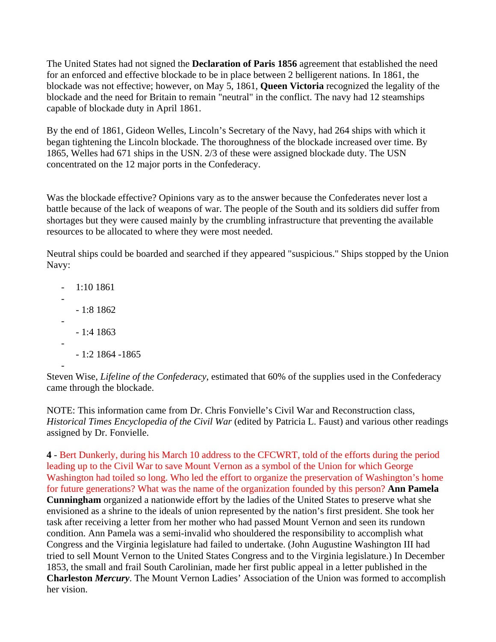The United States had not signed the **Declaration of Paris 1856** agreement that established the need for an enforced and effective blockade to be in place between 2 belligerent nations. In 1861, the blockade was not effective; however, on May 5, 1861, **Queen Victoria** recognized the legality of the blockade and the need for Britain to remain "neutral" in the conflict. The navy had 12 steamships capable of blockade duty in April 1861.

By the end of 1861, Gideon Welles, Lincoln's Secretary of the Navy, had 264 ships with which it began tightening the Lincoln blockade. The thoroughness of the blockade increased over time. By 1865, Welles had 671 ships in the USN. 2/3 of these were assigned blockade duty. The USN concentrated on the 12 major ports in the Confederacy.

Was the blockade effective? Opinions vary as to the answer because the Confederates never lost a battle because of the lack of weapons of war. The people of the South and its soldiers did suffer from shortages but they were caused mainly by the crumbling infrastructure that preventing the available resources to be allocated to where they were most needed.

Neutral ships could be boarded and searched if they appeared "suspicious." Ships stopped by the Union Navy:

 $- 1:101861$ - - 1:8 1862 - - 1:4 1863 - - 1:2 1864 -1865 -

Steven Wise, *Lifeline of the Confederacy*, estimated that 60% of the supplies used in the Confederacy came through the blockade.

NOTE: This information came from Dr. Chris Fonvielle's Civil War and Reconstruction class, *Historical Times Encyclopedia of the Civil War* (edited by Patricia L. Faust) and various other readings assigned by Dr. Fonvielle.

**4** - Bert Dunkerly, during his March 10 address to the CFCWRT, told of the efforts during the period leading up to the Civil War to save Mount Vernon as a symbol of the Union for which George Washington had toiled so long. Who led the effort to organize the preservation of Washington's home for future generations? What was the name of the organization founded by this person? **Ann Pamela Cunningham** organized a nationwide effort by the ladies of the United States to preserve what she envisioned as a shrine to the ideals of union represented by the nation's first president. She took her task after receiving a letter from her mother who had passed Mount Vernon and seen its rundown condition. Ann Pamela was a semi-invalid who shouldered the responsibility to accomplish what Congress and the Virginia legislature had failed to undertake. (John Augustine Washington III had tried to sell Mount Vernon to the United States Congress and to the Virginia legislature.) In December 1853, the small and frail South Carolinian, made her first public appeal in a letter published in the **Charleston** *Mercury*. The Mount Vernon Ladies' Association of the Union was formed to accomplish her vision.